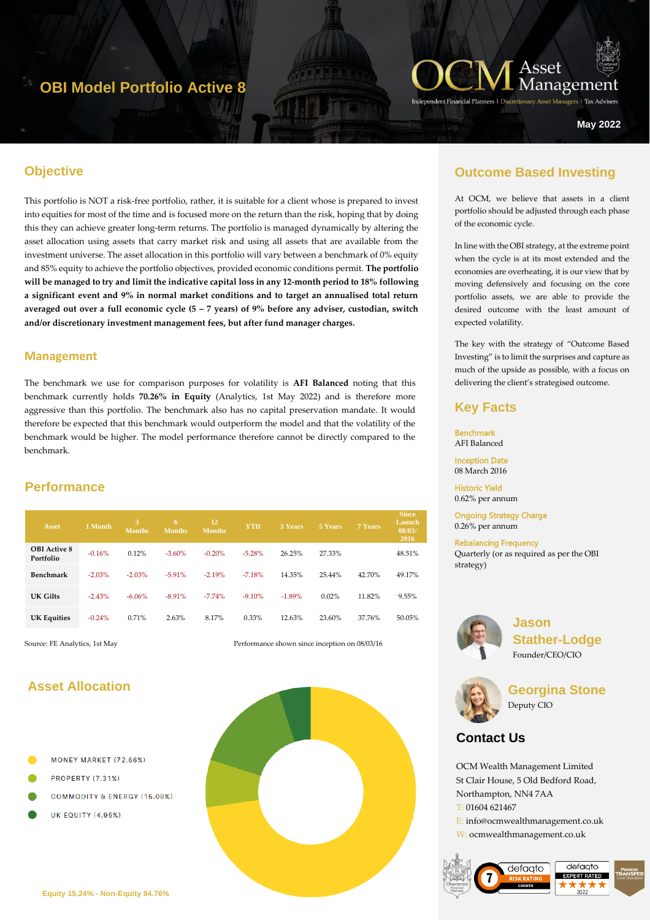# **OBI Model Portfolio Active 8**



**Managers | Tax Advise** 

**May 2022**

### **Objective**

This portfolio is NOT a risk-free portfolio, rather, it is suitable for a client whose is prepared to invest into equities for most of the time and is focused more on the return than the risk, hoping that by doing this they can achieve greater long-term returns. The portfolio is managed dynamically by altering the asset allocation using assets that carry market risk and using all assets that are available from the investment universe. The asset allocation in this portfolio will vary between a benchmark of 0% equity and 85% equity to achieve the portfolio objectives, provided economic conditions permit. **The portfolio will be managed to try and limit the indicative capital loss in any 12-month period to 18% following a significant event and 9% in normal market conditions and to target an annualised total return averaged out over a full economic cycle (5 – 7 years) of 9% before any adviser, custodian, switch and/or discretionary investment management fees, but after fund manager charges.** 

#### **Management**

The benchmark we use for comparison purposes for volatility is **AFI Balanced** noting that this benchmark currently holds **70.26% in Equity** (Analytics, 1st May 2022) and is therefore more aggressive than this portfolio. The benchmark also has no capital preservation mandate. It would therefore be expected that this benchmark would outperform the model and that the volatility of the benchmark would be higher. The model performance therefore cannot be directly compared to the benchmark.

## **Performance**

| <b>Asset</b>                     | 1 Month  | 3<br><b>Months</b> | 6<br><b>Months</b> | 12<br><b>Months</b> | <b>YTD</b> | <b>3 Years</b> | 5 Years | <b>7 Years</b> | <b>Since</b><br>Launch<br>08/03/<br>2016 |
|----------------------------------|----------|--------------------|--------------------|---------------------|------------|----------------|---------|----------------|------------------------------------------|
| <b>OBI</b> Active 8<br>Portfolio | $-0.16%$ | 0.12%              | $-3.60\%$          | $-0.20%$            | $-5.28%$   | 26.25%         | 27.33%  |                | 48.51%                                   |
| Benchmark                        | $-2.03%$ | $-2.03%$           | $-5.91%$           | $-2.19%$            | $-7.18%$   | 14.35%         | 25.44%  | 42.70%         | 49.17%                                   |
| UK Gilts                         | $-2.43%$ | $-6.06%$           | $-8.91%$           | $-7.74%$            | $-9.10%$   | $-1.89%$       | 0.02%   | 11.82%         | 9.55%                                    |
| <b>UK Equities</b>               | $-0.24%$ | 0.71%              | 2.63%              | 8.17%               | $0.33\%$   | 12.63%         | 23.60%  | 37.76%         | 50.05%                                   |

Source: FE Analytics, 1st May Performance shown since inception on 08/03/16

### **Asset Allocation**

- MONEY MARKET (72.66%)
- **PROPERTY (7.31%)**
- **COMMODITY & ENERGY (15.08%)**
- **UK EQUITY (4.95%)**



## **Outcome Based Investing**

At OCM, we believe that assets in a client portfolio should be adjusted through each phase of the economic cycle.

In line with the OBI strategy, at the extreme point when the cycle is at its most extended and the economies are overheating, it is our view that by moving defensively and focusing on the core portfolio assets, we are able to provide the desired outcome with the least amount of expected volatility.

The key with the strategy of "Outcome Based Investing" is to limit the surprises and capture as much of the upside as possible, with a focus on delivering the client's strategised outcome.

### **Key Facts**

Benchmark AFI Balanced Inception Date

08 March 2016

Historic Yield 0.62% per annum

Ongoing Strategy Charge 0.26% per annum

Rebalancing Frequency Quarterly (or as required as per the OBI strategy)



**Jason Stather-Lodge** Founder/CEO/CIO



**Georgina Stone** Deputy CIO

# **Contact Us**

OCM Wealth Management Limited St Clair House, 5 Old Bedford Road, Northampton, NN4 7AA T: 01604 621467 E: info@ocmwealthmanagement.co.uk W: ocmwealthmanagement.co.uk